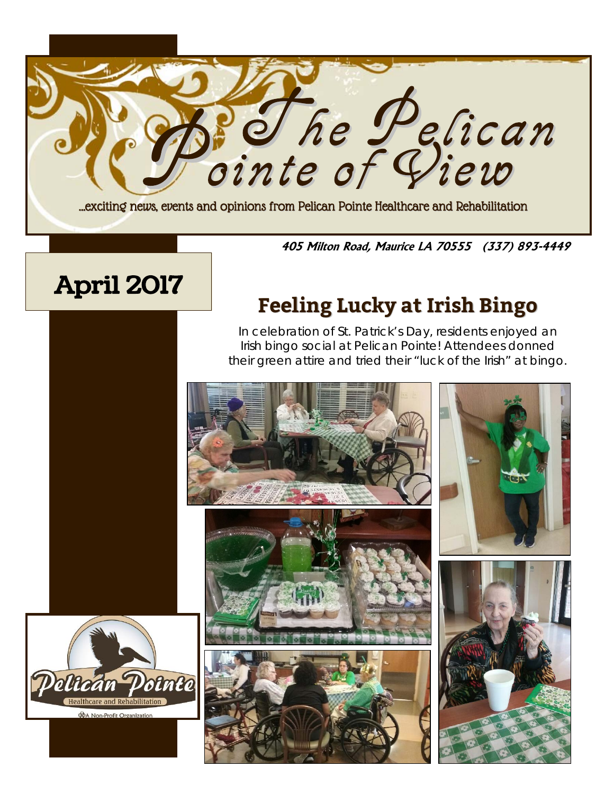

**405 Milton Road, Maurice LA 70555 (337) 893-4449**

# April 2017 **Feeling Lucky at Irish Bingo**

In celebration of St. Patrick's Day, residents enjoyed an Irish bingo social at Pelican Pointe! Attendees donned their green attire and tried their "luck of the Irish" at bingo.

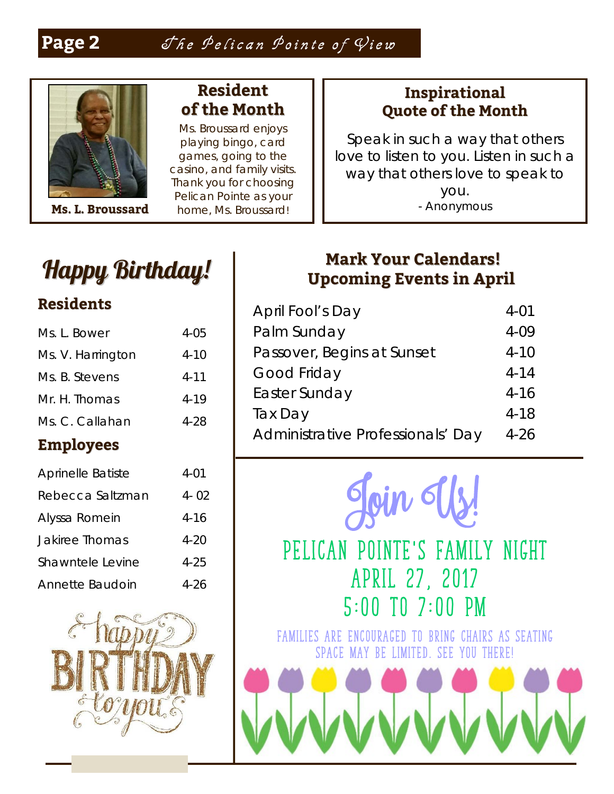

## **Resident of the Month**

Ms. Broussard enjoys playing bingo, card games, going to the casino, and family visits. Thank you for choosing Pelican Pointe as your home, Ms. Broussard! **M** - Anonymous **s. L. Broussard**

#### **Inspirational Quote of the Month**

[Speak in such a way that others](http://www.values.com/inspirational-quotes/7610-speak-in-such-a-way-that-others-love-to-listen)  [love to listen to you. Listen in such a](http://www.values.com/inspirational-quotes/7610-speak-in-such-a-way-that-others-love-to-listen)  [way that others love to speak to](http://www.values.com/inspirational-quotes/7610-speak-in-such-a-way-that-others-love-to-listen)  [you.](http://www.values.com/inspirational-quotes/7610-speak-in-such-a-way-that-others-love-to-listen)

## Happy Birthday!

### **Residents**

| Ms. L. Bower             | 4-05     |
|--------------------------|----------|
| Ms. V. Harrington        | $4 - 10$ |
| Ms. B. Stevens           | $4 - 11$ |
| Mr. H. Thomas            | $4 - 19$ |
| Ms. C. Callahan          | 4-28     |
| <b>Employees</b>         |          |
| <b>Aprinelle Batiste</b> | $4 - 01$ |
| Rebecca Saltzman         | $4 - 02$ |
| Alyssa Romein            | $4 - 16$ |
| <b>Jakiree Thomas</b>    | $4 - 20$ |
| Shawntele Levine         | 4-25     |

Annette Baudoin 4-26

## **Mark Your Calendars! Upcoming Events in April**

| April Fool's Day                  | $4 - 01$ |
|-----------------------------------|----------|
| Palm Sunday                       | $4 - 09$ |
| Passover, Begins at Sunset        | $4 - 10$ |
| Good Friday                       | $4 - 14$ |
| Easter Sunday                     | $4 - 16$ |
| Tax Day                           | $4 - 18$ |
| Administrative Professionals' Day | 4-26     |



## **Pelican Pointe's family night April 27, 2017 5:00 to 7:00 pm**

**Families are encouraged to bring chairs as seating space may be limited. See you there!**

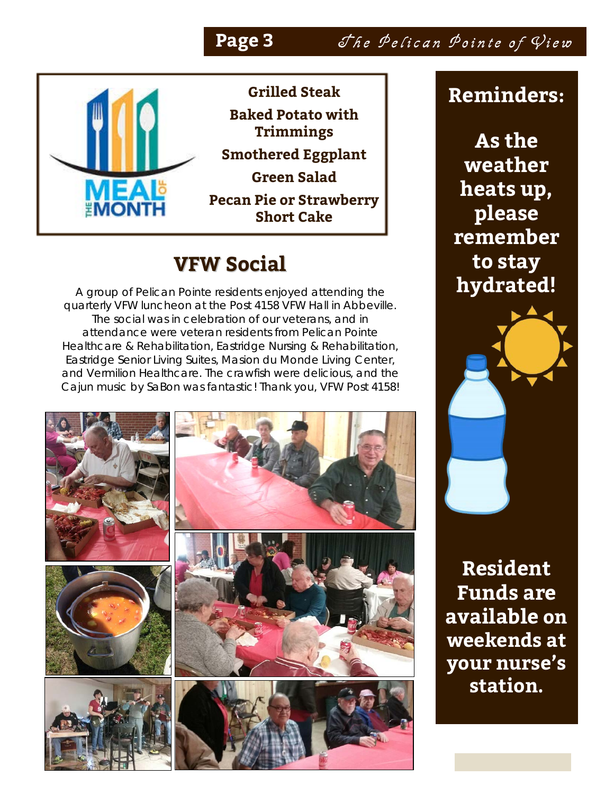Page 3 She Pelican Pointe of View



**Grilled Steak Baked Potato with Trimmings Smothered Eggplant Green Salad Pecan Pie or Strawberry Short Cake**

## **VFW Social**

A group of Pelican Pointe residents enjoyed attending the quarterly VFW luncheon at the Post 4158 VFW Hall in Abbeville. The social was in celebration of our veterans, and in attendance were veteran residents from Pelican Pointe Healthcare & Rehabilitation, Eastridge Nursing & Rehabilitation, Eastridge Senior Living Suites, Masion du Monde Living Center, and Vermilion Healthcare. The crawfish were delicious, and the Cajun music by SaBon was fantastic! Thank you, VFW Post 4158!



## **Reminders:**

**As the weather heats up, please remember to stay hydrated!**

**Resident Funds are available on weekends at your nurse's station.**